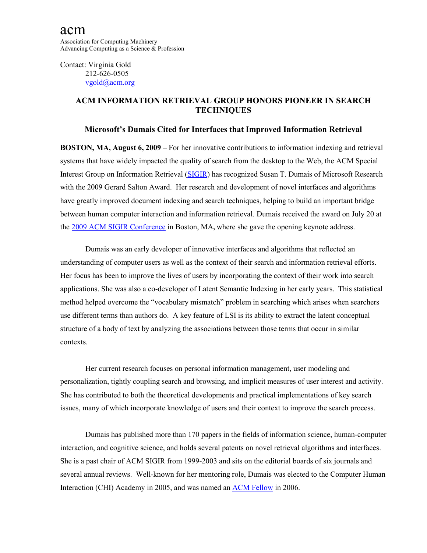Contact: Virginia Gold 212-626-0505 [vgold@acm.org](mailto:vgold@acm.org)

## **ACM INFORMATION RETRIEVAL GROUP HONORS PIONEER IN SEARCH TECHNIQUES**

## **Microsoft's Dumais Cited for Interfaces that Improved Information Retrieval**

**BOSTON, MA, August 6, 2009** – For her innovative contributions to information indexing and retrieval systems that have widely impacted the quality of search from the desktop to the Web, the ACM Special Interest Group on Information Retrieval [\(SIGIR\)](http://www.sigir.org/) has recognized Susan T. Dumais of Microsoft Research with the 2009 Gerard Salton Award. Her research and development of novel interfaces and algorithms have greatly improved document indexing and search techniques, helping to build an important bridge between human computer interaction and information retrieval. Dumais received the award on July 20 at the [2009 ACM SIGIR Conference](http://www.sigir2009.org/) in Boston, MA**,** where she gave the opening keynote address.

Dumais was an early developer of innovative interfaces and algorithms that reflected an understanding of computer users as well as the context of their search and information retrieval efforts. Her focus has been to improve the lives of users by incorporating the context of their work into search applications. She was also a co-developer of Latent Semantic Indexing in her early years. This statistical method helped overcome the "vocabulary mismatch" problem in searching which arises when searchers use different terms than authors do. A key feature of LSI is its ability to extract the latent conceptual structure of a body of text by analyzing the associations between those terms that occur in similar contexts.

Her current research focuses on personal information management, user modeling and personalization, tightly coupling search and browsing, and implicit measures of user interest and activity. She has contributed to both the theoretical developments and practical implementations of key search issues, many of which incorporate knowledge of users and their context to improve the search process.

Dumais has published more than 170 papers in the fields of information science, human-computer interaction, and cognitive science, and holds several patents on novel retrieval algorithms and interfaces. She is a past chair of ACM SIGIR from 1999-2003 and sits on the editorial boards of six journals and several annual reviews. Well-known for her mentoring role, Dumais was elected to the Computer Human Interaction (CHI) Academy in 2005, and was named an [ACM Fellow](http://fellows.acm.org/fellow_citation.cfm?id=2360550&srt=alpha&alpha=D) in 2006.